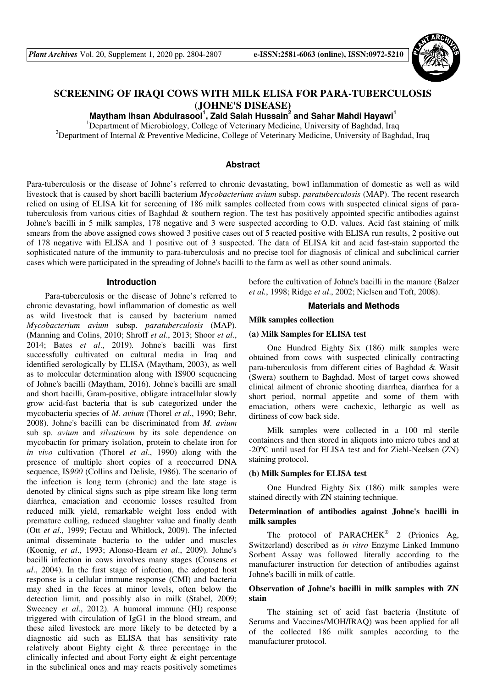

# **SCREENING OF IRAQI COWS WITH MILK ELISA FOR PARA-TUBERCULOSIS (JOHNE'S DISEASE)**

**Maytham Ihsan Abdulrasool<sup>1</sup> , Zaid Salah Hussain<sup>2</sup> and Sahar Mahdi Hayawi<sup>1</sup>**

<sup>1</sup>Department of Microbiology, College of Veterinary Medicine, University of Baghdad, Iraq <sup>2</sup>Department of Internal & Preventive Medicine, College of Veterinary Medicine, University of Baghdad, Iraq

### **Abstract**

Para-tuberculosis or the disease of Johne's referred to chronic devastating, bowl inflammation of domestic as well as wild livestock that is caused by short bacilli bacterium *Mycobacterium avium* subsp. *paratuberculosis* (MAP). The recent research relied on using of ELISA kit for screening of 186 milk samples collected from cows with suspected clinical signs of paratuberculosis from various cities of Baghdad & southern region. The test has positively appointed specific antibodies against Johne's bacilli in 5 milk samples, 178 negative and 3 were suspected according to O.D. values. Acid fast staining of milk smears from the above assigned cows showed 3 positive cases out of 5 reacted positive with ELISA run results, 2 positive out of 178 negative with ELISA and 1 positive out of 3 suspected. The data of ELISA kit and acid fast-stain supported the sophisticated nature of the immunity to para-tuberculosis and no precise tool for diagnosis of clinical and subclinical carrier cases which were participated in the spreading of Johne's bacilli to the farm as well as other sound animals.

#### **Introduction**

Para-tuberculosis or the disease of Johne's referred to chronic devastating, bowl inflammation of domestic as well as wild livestock that is caused by bacterium named *Mycobacterium avium* subsp. *paratuberculosis* (MAP). (Manning and Colins, 2010; Shroff *et al*., 2013; Shoor *et al*., 2014; Bates *et al*., 2019)*.* Johne's bacilli was first successfully cultivated on cultural media in Iraq and identified serologically by ELISA (Maytham, 2003), as well as to molecular determination along with IS900 sequencing of Johne's bacilli (Maytham, 2016). Johne's bacilli are small and short bacilli, Gram-positive, obligate intracellular slowly grow acid-fast bacteria that is sub categorized under the mycobacteria species of *M. avium* (Thorel *et al*., 1990; Behr, 2008). Johne's bacilli can be discriminated from *M. avium*  sub sp. *avium* and *silvaticum* by its sole dependence on mycobactin for primary isolation, protein to chelate iron for *in vivo* cultivation (Thorel *et al*., 1990) along with the presence of multiple short copies of a reoccurred DNA sequence, IS*900* (Collins and Delisle, 1986). The scenario of the infection is long term (chronic) and the late stage is denoted by clinical signs such as pipe stream like long term diarrhea, emaciation and economic losses resulted from reduced milk yield, remarkable weight loss ended with premature culling, reduced slaughter value and finally death (Ott *et al*., 1999; Fectau and Whitlock, 2009). The infected animal disseminate bacteria to the udder and muscles (Koenig, *et al*., 1993; Alonso-Hearn *et al*., 2009). Johne's bacilli infection in cows involves many stages (Cousens *et al*., 2004). In the first stage of infection, the adopted host response is a cellular immune response (CMI) and bacteria may shed in the feces at minor levels, often below the detection limit, and possibly also in milk (Stabel, 2009; Sweeney *et al*., 2012). A humoral immune (HI) response triggered with circulation of IgG1 in the blood stream, and these ailed livestock are more likely to be detected by a diagnostic aid such as ELISA that has sensitivity rate relatively about Eighty eight & three percentage in the clinically infected and about Forty eight & eight percentage in the subclinical ones and may reacts positively sometimes

before the cultivation of Johne's bacilli in the manure (Balzer *et al.*, 1998; Ridge *et al*., 2002; Nielsen and Toft, 2008).

### **Materials and Methods**

### **Milk samples collection**

### **(a) Milk Samples for ELISA test**

One Hundred Eighty Six (186) milk samples were obtained from cows with suspected clinically contracting para-tuberculosis from different cities of Baghdad & Wasit (Swera) southern to Baghdad. Most of target cows showed clinical ailment of chronic shooting diarrhea, diarrhea for a short period, normal appetite and some of them with emaciation, others were cachexic, lethargic as well as dirtiness of cow back side.

Milk samples were collected in a 100 ml sterile containers and then stored in aliquots into micro tubes and at -20ºC until used for ELISA test and for Ziehl-Neelsen (ZN) staining protocol.

#### **(b) Milk Samples for ELISA test**

One Hundred Eighty Six (186) milk samples were stained directly with ZN staining technique.

# **Determination of antibodies against Johne's bacilli in milk samples**

The protocol of PARACHEK<sup>®</sup> 2 (Prionics Ag, Switzerland) described as *in vitro* Enzyme Linked Immuno Sorbent Assay was followed literally according to the manufacturer instruction for detection of antibodies against Johne's bacilli in milk of cattle.

# **Observation of Johne's bacilli in milk samples with ZN stain**

The staining set of acid fast bacteria (Institute of Serums and Vaccines/MOH/IRAQ) was been applied for all of the collected 186 milk samples according to the manufacturer protocol.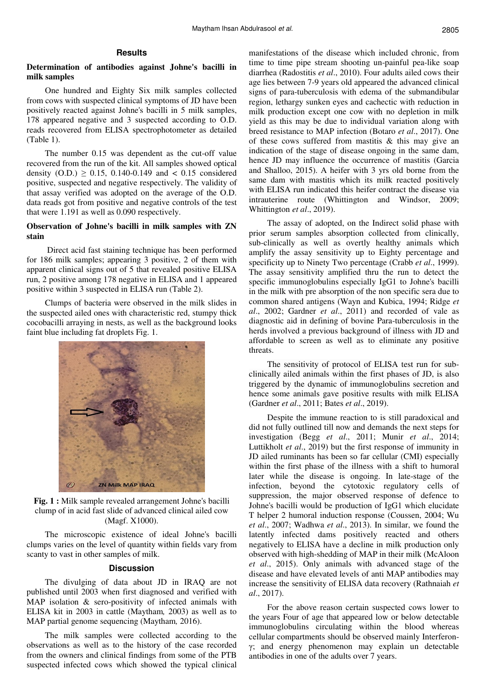## **Results**

# **Determination of antibodies against Johne's bacilli in milk samples**

One hundred and Eighty Six milk samples collected from cows with suspected clinical symptoms of JD have been positively reacted against Johne's bacilli in 5 milk samples, 178 appeared negative and 3 suspected according to O.D. reads recovered from ELISA spectrophotometer as detailed (Table 1).

The number 0.15 was dependent as the cut-off value recovered from the run of the kit. All samples showed optical density  $(O.D.) \ge 0.15$ , 0.140-0.149 and < 0.15 considered positive, suspected and negative respectively. The validity of that assay verified was adopted on the average of the O.D. data reads got from positive and negative controls of the test that were 1.191 as well as 0.090 respectively.

# **Observation of Johne's bacilli in milk samples with ZN stain**

 Direct acid fast staining technique has been performed for 186 milk samples; appearing 3 positive, 2 of them with apparent clinical signs out of 5 that revealed positive ELISA run, 2 positive among 178 negative in ELISA and 1 appeared positive within 3 suspected in ELISA run (Table 2).

Clumps of bacteria were observed in the milk slides in the suspected ailed ones with characteristic red, stumpy thick cocobacilli arraying in nests, as well as the background looks faint blue including fat droplets Fig. 1.



**Fig. 1 :** Milk sample revealed arrangement Johne's bacilli clump of in acid fast slide of advanced clinical ailed cow (Magf. X1000).

The microscopic existence of ideal Johne's bacilli clumps varies on the level of quantity within fields vary from scanty to vast in other samples of milk.

#### **Discussion**

The divulging of data about JD in IRAQ are not published until 2003 when first diagnosed and verified with MAP isolation & sero-positivity of infected animals with ELISA kit in 2003 in cattle (Maytham*,* 2003) as well as to MAP partial genome sequencing (Maytham*,* 2016).

The milk samples were collected according to the observations as well as to the history of the case recorded from the owners and clinical findings from some of the PTB suspected infected cows which showed the typical clinical manifestations of the disease which included chronic, from time to time pipe stream shooting un-painful pea-like soap diarrhea (Radostitis *et al*., 2010). Four adults ailed cows their age lies between 7-9 years old appeared the advanced clinical signs of para-tuberculosis with edema of the submandibular region, lethargy sunken eyes and cachectic with reduction in milk production except one cow with no depletion in milk yield as this may be due to individual variation along with breed resistance to MAP infection (Botaro *et al*., 2017). One of these cows suffered from mastitis & this may give an indication of the stage of disease ongoing in the same dam, hence JD may influence the occurrence of mastitis (Garcia and Shalloo, 2015). A heifer with 3 yrs old borne from the same dam with mastitis which its milk reacted positively with ELISA run indicated this heifer contract the disease via intrauterine route (Whittington and Windsor, 2009; Whittington *et al*., 2019).

The assay of adopted, on the Indirect solid phase with prior serum samples absorption collected from clinically, sub-clinically as well as overtly healthy animals which amplify the assay sensitivity up to Eighty percentage and specificity up to Ninety Two percentage (Crabb *et al*., 1999). The assay sensitivity amplified thru the run to detect the specific immunoglobulins especially IgG1 to Johne's bacilli in the milk with pre absorption of the non specific sera due to common shared antigens (Wayn and Kubica, 1994; Ridge *et al*., 2002; Gardner *et al*., 2011) and recorded of vale as diagnostic aid in defining of bovine Para-tuberculosis in the herds involved a previous background of illness with JD and affordable to screen as well as to eliminate any positive threats.

The sensitivity of protocol of ELISA test run for subclinically ailed animals within the first phases of JD, is also triggered by the dynamic of immunoglobulins secretion and hence some animals gave positive results with milk ELISA (Gardner *et al*., 2011; Bates *et al*., 2019).

Despite the immune reaction to is still paradoxical and did not fully outlined till now and demands the next steps for investigation (Begg *et al*., 2011; Munir *et al*., 2014; Luttikholt *et al*., 2019) but the first response of immunity in JD ailed ruminants has been so far cellular (CMI) especially within the first phase of the illness with a shift to humoral later while the disease is ongoing. In late-stage of the infection, beyond the cytotoxic regulatory cells of suppression, the major observed response of defence to Johne's bacilli would be production of IgG1 which elucidate T helper 2 humoral induction response (Coussen, 2004; Wu *et al*., 2007; Wadhwa *et al*., 2013). In similar, we found the latently infected dams positively reacted and others negatively to ELISA have a decline in milk production only observed with high-shedding of MAP in their milk (McAloon *et al*., 2015). Only animals with advanced stage of the disease and have elevated levels of anti MAP antibodies may increase the sensitivity of ELISA data recovery (Rathnaiah *et al*., 2017).

For the above reason certain suspected cows lower to the years Four of age that appeared low or below detectable immunoglobulins circulating within the blood whereas cellular compartments should be observed mainly Interferonγ; and energy phenomenon may explain un detectable antibodies in one of the adults over 7 years.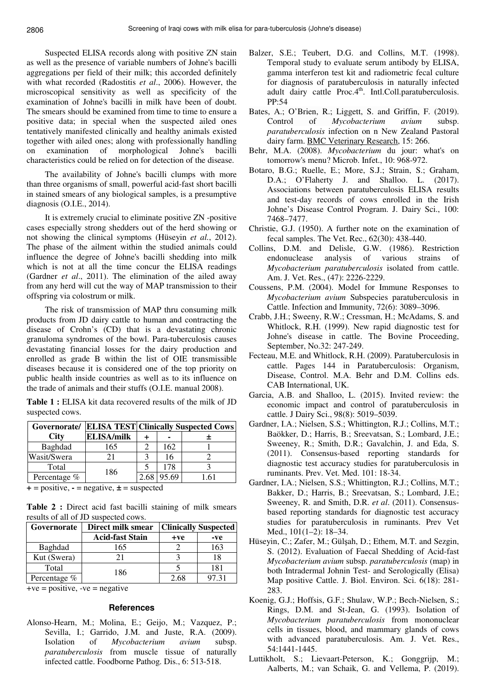Suspected ELISA records along with positive ZN stain as well as the presence of variable numbers of Johne's bacilli aggregations per field of their milk; this accorded definitely with what recorded (Radostitis *et al*., 2006). However, the microscopical sensitivity as well as specificity of the examination of Johne's bacilli in milk have been of doubt. The smears should be examined from time to time to ensure a positive data; in special when the suspected ailed ones tentatively manifested clinically and healthy animals existed together with ailed ones; along with professionally handling on examination of morphological Johne's bacilli characteristics could be relied on for detection of the disease.

The availability of Johne's bacilli clumps with more than three organisms of small, powerful acid-fast short bacilli in stained smears of any biological samples, is a presumptive diagnosis (O.I.E., 2014).

It is extremely crucial to eliminate positive ZN -positive cases especially strong shedders out of the herd showing or not showing the clinical symptoms (Hüseyin *et al.*, 2012). The phase of the ailment within the studied animals could influence the degree of Johne's bacilli shedding into milk which is not at all the time concur the ELISA readings (Gardner *et al*., 2011). The elimination of the ailed away from any herd will cut the way of MAP transmission to their offspring via colostrum or milk.

The risk of transmission of MAP thru consuming milk products from JD dairy cattle to human and contracting the disease of Crohn's (CD) that is a devastating chronic granuloma syndromes of the bowl. Para-tuberculosis causes devastating financial losses for the dairy production and enrolled as grade B within the list of OIE transmissible diseases because it is considered one of the top priority on public health inside countries as well as to its influence on the trade of animals and their stuffs (O.I.E. manual 2008).

**Table 1 :** ELISA kit data recovered results of the milk of JD suspected cows.

|              |                   | <b>Governorate/ ELISA TEST Clinically Suspected Cows</b> |       |  |  |
|--------------|-------------------|----------------------------------------------------------|-------|--|--|
| <b>City</b>  | <b>ELISA/milk</b> |                                                          |       |  |  |
| Baghdad      | 165               |                                                          | 162   |  |  |
| Wasit/Swera  | 21                |                                                          | 16    |  |  |
| Total        | 186               |                                                          | 178   |  |  |
| Percentage % |                   |                                                          | 95.69 |  |  |

 $+$  = positive,  $-$  = negative,  $\pm$  = suspected

**Table 2 :** Direct acid fast bacilli staining of milk smears results of all of JD suspected cows.

| Governorate  | Direct milk smear      | <b>Clinically Suspected</b> |       |
|--------------|------------------------|-----------------------------|-------|
|              | <b>Acid-fast Stain</b> | $+ve$                       | -ve   |
| Baghdad      | 165                    |                             | 163   |
| Kut (Swera)  |                        |                             | 18    |
| Total        | 186                    |                             | 181   |
| Percentage % |                        | 2.68                        | 97.31 |

 $+ve = positive$ ,  $-ve = negative$ 

#### **References**

Alonso-Hearn, M.; Molina, E.; Geijo, M.; Vazquez, P.; Sevilla, I.; Garrido, J.M. and Juste, R.A. (2009). Isolation of *Mycobacterium avium* subsp. *paratuberculosis* from muscle tissue of naturally infected cattle. Foodborne Pathog. Dis., 6: 513-518.

- Balzer, S.E.; Teubert, D.G. and Collins, M.T. (1998). Temporal study to evaluate serum antibody by ELISA, gamma interferon test kit and radiometric fecal culture for diagnosis of paratuberculosis in naturally infected adult dairy cattle Proc.4<sup>th</sup>. Intl.Coll.paratuberculosis. PP:54
- Bates, A.; O'Brien, R.; Liggett, S. and Griffin, F. (2019). Control of *Mycobacterium avium* subsp. *paratuberculosis* infection on n New Zealand Pastoral dairy farm. BMC Veterinary Research, 15: 266.
- Behr, M.A. (2008). *Mycobacterium* du jour: what's on tomorrow's menu? Microb. Infet., 10: 968-972.
- Botaro, B.G.; Ruelle, E.; More, S.J.; Strain, S.; Graham, D.A.; O'Flaherty J. and Shalloo. L. (2017). Associations between paratuberculosis ELISA results and test-day records of cows enrolled in the Irish Johne's Disease Control Program. J. Dairy Sci., 100: 7468–7477.
- Christie, G.J. (1950). A further note on the examination of fecal samples. The Vet. Rec., 62(30): 438-440.
- Collins, D.M. and Delisle, G.W. (1986). Restriction endonuclease analysis of various strains of *Mycobacterium paratuberculosis* isolated from cattle. Am. J. Vet. Res., (47): 2226-2229.
- Coussens, P.M. (2004). Model for Immune Responses to *Mycobacterium avium* Subspecies paratuberculosis in Cattle. Infection and Immunity, 72(6): 3089–3096.
- Crabb, J.H.; Sweeny, R.W.; Cressman, H.; McAdams, S. and Whitlock, R.H. (1999). New rapid diagnostic test for Johne's disease in cattle. The Bovine Proceeding, September, No.32: 247-249.
- Fecteau, M.E. and Whitlock, R.H. (2009). Paratuberculosis in cattle. Pages 144 in Paratuberculosis: Organism, Disease, Control. M.A. Behr and D.M. Collins eds. CAB International, UK.
- Garcia, A.B. and Shalloo, L. (2015). Invited review: the economic impact and control of paratuberculosis in cattle. J Dairy Sci., 98(8): 5019–5039.
- Gardner, I.A.; Nielsen, S.S.; Whittington, R.J.; Collins, M.T.; Baökker, D.; Harris, B.; Sreevatsan, S.; Lombard, J.E.; Sweeney, R.; Smith, D.R.; Gavalchin, J. and Eda, S. (2011). Consensus-based reporting standards for diagnostic test accuracy studies for paratuberculosis in ruminants. Prev. Vet. Med. 101: 18-34.
- Gardner, I.A.; Nielsen, S.S.; Whittington, R.J.; Collins, M.T.; Bakker, D.; Harris, B.; Sreevatsan, S.; Lombard, J.E.; Sweeney, R. and Smith, D.R. *et al*. (2011). Consensusbased reporting standards for diagnostic test accuracy studies for paratuberculosis in ruminants. Prev Vet Med., 101(1–2): 18–34.
- Hüseyin, C.; Zafer, M.; Gülşah, D.; Ethem, M.T. and Sezgin, S. (2012). Evaluation of Faecal Shedding of Acid-fast *Mycobacterium avium* subsp. *paratuberculosis* (map) in both Intradermal Johnin Test- and Serologically (Elisa) Map positive Cattle. J. Biol. Environ. Sci. 6(18): 281- 283.
- Koenig, G.J.; Hoffsis, G.F.; Shulaw, W.P.; Bech-Nielsen, S.; Rings, D.M. and St-Jean, G. (1993). Isolation of *Mycobacterium paratuberculosis* from mononuclear cells in tissues, blood, and mammary glands of cows with advanced paratuberculosis. Am. J. Vet. Res., 54:1441-1445.
- Luttikholt, S.; Lievaart-Peterson, K.; Gonggrijp, M.; Aalberts, M.; van Schaik, G. and Vellema, P. (2019).